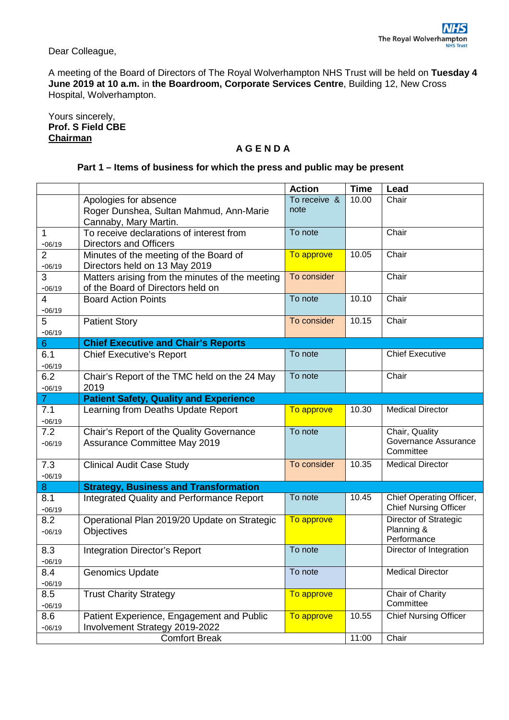Dear Colleague,

A meeting of the Board of Directors of The Royal Wolverhampton NHS Trust will be held on **Tuesday 4 June 2019 at 10 a.m.** in **the Boardroom, Corporate Services Centre**, Building 12, New Cross Hospital, Wolverhampton.

Yours sincerely, **Prof. S Field CBE Chairman**

## **A G E N D A**

## **Part 1 – Items of business for which the press and public may be present**

|                      |                                                 | <b>Action</b> | <b>Time</b> | Lead                         |
|----------------------|-------------------------------------------------|---------------|-------------|------------------------------|
|                      | Apologies for absence                           | To receive &  | 10.00       | Chair                        |
|                      | Roger Dunshea, Sultan Mahmud, Ann-Marie         | note          |             |                              |
|                      | Cannaby, Mary Martin.                           |               |             |                              |
| $\mathbf{1}$         | To receive declarations of interest from        | To note       |             | Chair                        |
| $-06/19$             | <b>Directors and Officers</b>                   |               |             |                              |
| $\overline{2}$       | Minutes of the meeting of the Board of          | To approve    | 10.05       | Chair                        |
| $-06/19$             | Directors held on 13 May 2019                   |               |             |                              |
| 3                    | Matters arising from the minutes of the meeting | To consider   |             | Chair                        |
| $-06/19$             | of the Board of Directors held on               |               |             |                              |
| 4                    | <b>Board Action Points</b>                      | To note       | 10.10       | Chair                        |
| $-06/19$             |                                                 |               |             |                              |
| 5                    | <b>Patient Story</b>                            | To consider   | 10.15       | Chair                        |
| $-06/19$             |                                                 |               |             |                              |
| $\sqrt{6}$           | <b>Chief Executive and Chair's Reports</b>      |               |             |                              |
| 6.1                  | <b>Chief Executive's Report</b>                 | To note       |             | <b>Chief Executive</b>       |
| $-06/19$             |                                                 |               |             |                              |
| 6.2                  | Chair's Report of the TMC held on the 24 May    | To note       |             | Chair                        |
| $-06/19$             | 2019                                            |               |             |                              |
| $\mathbf{7}$         | <b>Patient Safety, Quality and Experience</b>   |               |             |                              |
| 7.1                  | Learning from Deaths Update Report              | To approve    | 10.30       | <b>Medical Director</b>      |
| $-06/19$             |                                                 |               |             |                              |
| 7.2                  | Chair's Report of the Quality Governance        | To note       |             | Chair, Quality               |
| $-06/19$             | Assurance Committee May 2019                    |               |             | Governance Assurance         |
|                      |                                                 |               |             | Committee                    |
| 7.3                  | <b>Clinical Audit Case Study</b>                | To consider   | 10.35       | <b>Medical Director</b>      |
| $-06/19$             |                                                 |               |             |                              |
| $\bf 8$              | <b>Strategy, Business and Transformation</b>    |               |             |                              |
| 8.1                  | Integrated Quality and Performance Report       | To note       | 10.45       | Chief Operating Officer,     |
| $-06/19$             |                                                 |               |             | <b>Chief Nursing Officer</b> |
| 8.2                  | Operational Plan 2019/20 Update on Strategic    | To approve    |             | Director of Strategic        |
| $-06/19$             | Objectives                                      |               |             | Planning &<br>Performance    |
| 8.3                  |                                                 | To note       |             | Director of Integration      |
|                      | <b>Integration Director's Report</b>            |               |             |                              |
| $-06/19$<br>8.4      | <b>Genomics Update</b>                          | To note       |             | <b>Medical Director</b>      |
| $-06/19$             |                                                 |               |             |                              |
| 8.5                  | <b>Trust Charity Strategy</b>                   | To approve    |             | Chair of Charity             |
|                      |                                                 |               |             | Committee                    |
| $-06/19$<br>8.6      | Patient Experience, Engagement and Public       | To approve    | 10.55       | <b>Chief Nursing Officer</b> |
|                      | Involvement Strategy 2019-2022                  |               |             |                              |
| $-06/19$             |                                                 |               | 11:00       | Chair                        |
| <b>Comfort Break</b> |                                                 |               |             |                              |